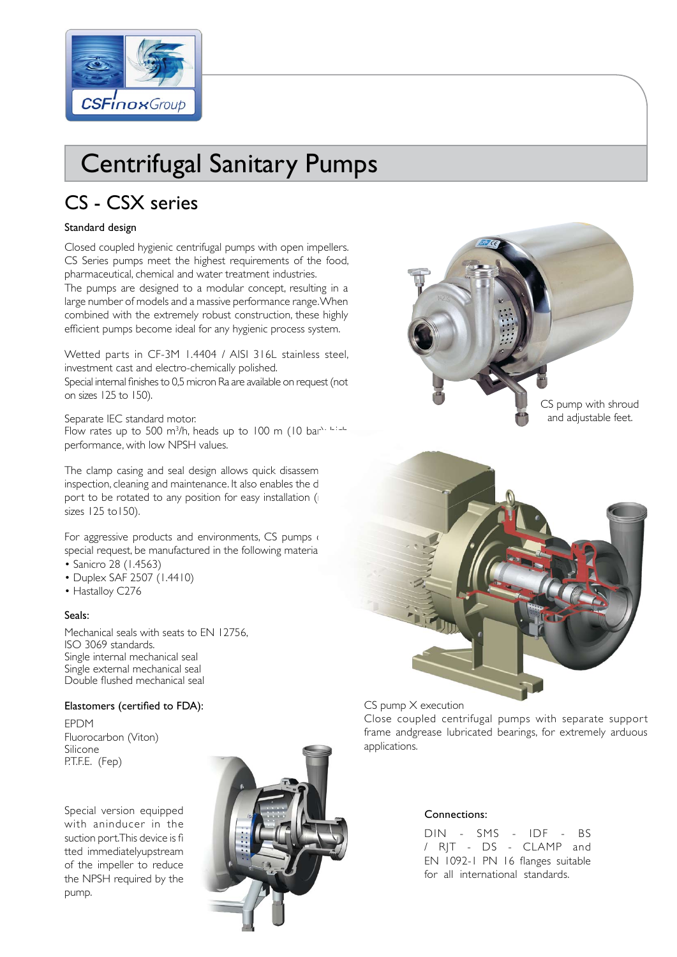

# Centrifugal Sanitary Pumps

## CS - CSX series

#### Standard design

Closed coupled hygienic centrifugal pumps with open impellers. CS Series pumps meet the highest requirements of the food, pharmaceutical, chemical and water treatment industries. The pumps are designed to a modular concept, resulting in a large number of models and a massive performance range. When combined with the extremely robust construction, these highly efficient pumps become ideal for any hygienic process system.

Wetted parts in CF-3M 1.4404 / AISI 316L stainless steel, investment cast and electro-chemically polished.

Special internal finishes to 0,5 micron Ra are available on request (not on sizes 125 to 150).

Separate IEC standard motor. Flow rates up to 500 m<sup>3</sup>/h, heads up to 100 m (10 bar<sup>s, Lendre</sup>)

performance, with low NPSH values.

The clamp casing and seal design allows quick disassem inspection, cleaning and maintenance. It also enables the d port to be rotated to any position for easy installation ( sizes 125 to150).

For aggressive products and environments, CS pumps on special request, be manufactured in the following materials

- Sanicro 28 (1.4563)
- Duplex SAF 2507 (1.4410)
- Hastalloy C276

#### Seals:

Mechanical seals with seats to EN 12756, ISO 3069 standards. Single internal mechanical seal Single external mechanical seal Double flushed mechanical seal

#### Elastomers (certified to FDA):

EPDM Fluorocarbon (Viton) Silicone P.T.F.E. (Fep)

Special version equipped with aninducer in the suction port. This device is fi tted immediatelyupstream of the impeller to reduce the NPSH required by the pump.







CS pump X execution

Close coupled centrifugal pumps with separate support frame andgrease lubricated bearings, for extremely arduous applications.

#### Connections:

DIN - SMS - IDF - BS / RJT - DS - CLAMP and EN 1092-1 PN 16 flanges suitable for all international standards.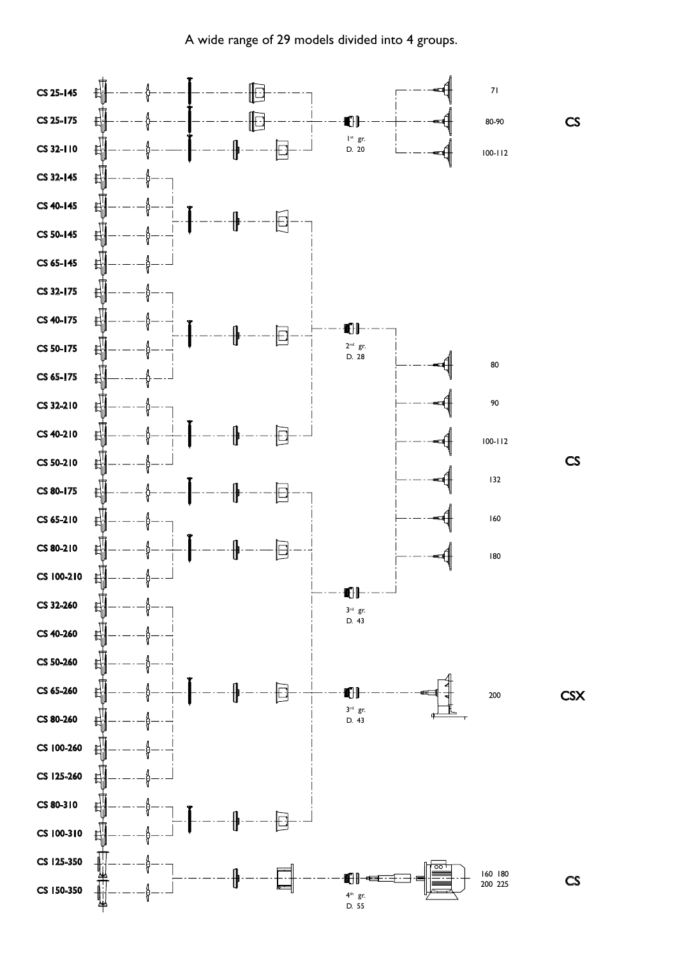A wide range of 29 models divided into 4 groups.

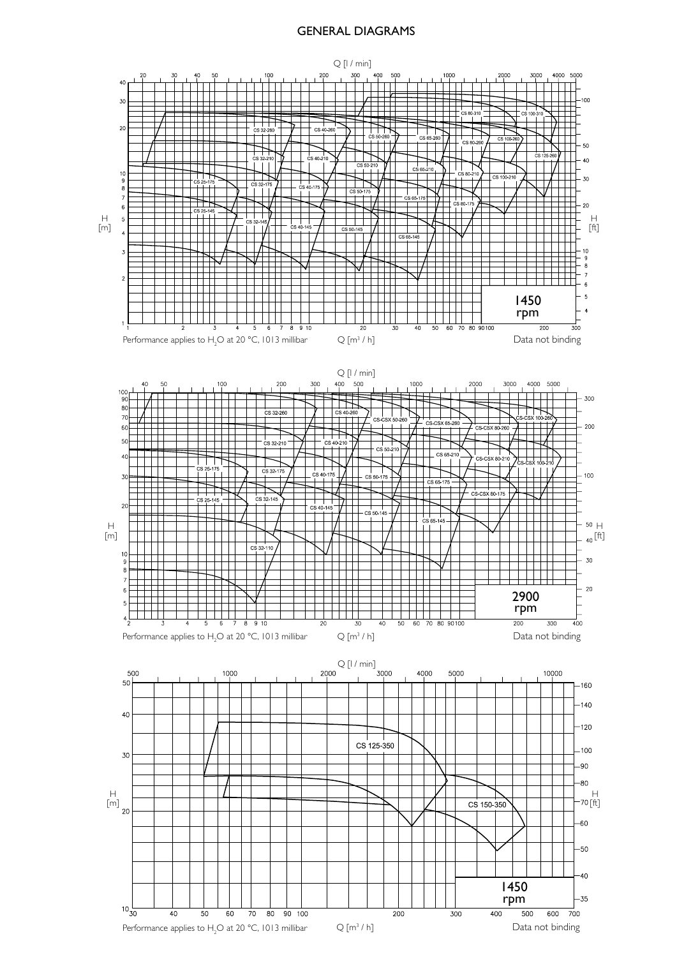#### GENERAL DIAGRAMS

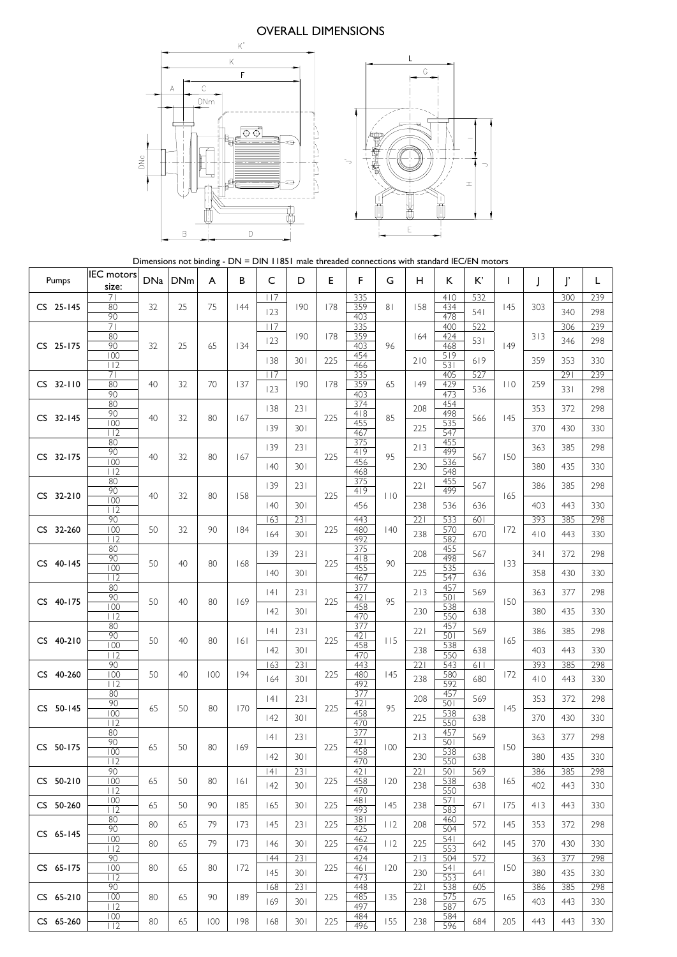#### OVERALL DIMENSIONS



Dimensions not binding - DN = DIN 11851 male threaded connections with standard IEC/EN motors

| Pumps       | <b>IEC</b> motors<br>size: | DNa | <b>DNm</b> | A   | B   | C   | D   | E   | F          | G   | н   | K.         | K'  | $\mathbf{I}$ | $\mathbf{I}$ | ľ   | L   |
|-------------|----------------------------|-----|------------|-----|-----|-----|-----|-----|------------|-----|-----|------------|-----|--------------|--------------|-----|-----|
|             | 71                         |     |            |     |     | 117 |     |     | 335        |     |     | 410        | 532 |              |              | 300 | 239 |
| CS 25-145   | 80<br>90                   | 32  | 25         | 75  | 44  | 123 | 190 | 178 | 359<br>403 | 81  | 158 | 434<br>478 | 541 | 145          | 303          | 340 | 298 |
|             | 71                         |     |            |     |     | 117 |     |     | 335        |     |     | 400        | 522 |              |              | 306 | 239 |
| CS 25-175   | 80<br>90                   | 32  | 25         | 65  | 134 | 123 | 190 | 178 | 359<br>403 | 96  | 164 | 424<br>468 | 531 | 49           | 313          | 346 | 298 |
|             | 100                        |     |            |     |     | 138 | 301 | 225 | 454        |     | 210 | 519        | 619 |              | 359          | 353 | 330 |
|             | 112<br>71                  |     |            |     |     | 117 |     |     | 466<br>335 |     |     | 531<br>405 | 527 |              |              | 291 | 239 |
| $CS$ 32-110 | 80<br>90                   | 40  | 32         | 70  | 137 | 123 | 190 | 178 | 359<br>403 | 65  | 149 | 429<br>473 | 536 | 110          | 259          | 331 | 298 |
|             | 80                         |     |            |     |     | 138 | 231 |     | 374        |     | 208 | 454        |     |              | 353          | 372 | 298 |
| CS 32-145   | 90<br>100                  | 40  | 32         | 80  | 167 | 139 | 301 | 225 | 418<br>455 | 85  | 225 | 498<br>535 | 566 | 145          | 370          | 430 | 330 |
|             | 112<br>80                  |     |            |     |     |     |     |     | 467<br>375 |     |     | 547<br>455 |     |              |              |     |     |
| CS 32-175   | 90                         | 40  | 32         | 80  | 167 | 139 | 231 | 225 | 419        | 95  | 213 | 499        | 567 | 150          | 363          | 385 | 298 |
|             | 100<br>112                 |     |            |     |     | 40  | 301 |     | 456<br>468 |     | 230 | 536<br>548 |     |              | 380          | 435 | 330 |
|             | 80<br>90                   |     |            |     |     | 139 | 231 |     | 375<br>4 9 |     | 221 | 455<br>499 | 567 |              | 386          | 385 | 298 |
| CS 32-210   | 100                        | 40  | 32         | 80  | 158 | 40  | 301 | 225 | 456        | 110 | 238 | 536        | 636 | 165          | 403          | 443 | 330 |
|             | 112<br>90                  |     |            |     |     | 163 | 231 |     | 443        |     | 221 | 533        | 601 |              | 393          | 385 | 298 |
| CS 32-260   | 100<br>112                 | 50  | 32         | 90  | 184 | 164 | 301 | 225 | 480<br>492 | 40  | 238 | 570<br>582 | 670 | 172          | 410          | 443 | 330 |
|             | 80                         |     |            |     |     | 139 | 231 |     | 375        |     | 208 | 455        | 567 |              | 341          | 372 | 298 |
| CS 40-145   | 90<br>100                  | 50  | 40         | 80  | 168 |     | 301 | 225 | 418<br>455 | 90  |     | 498<br>535 |     | 133          | 358          |     |     |
|             | 112<br>80                  |     |            |     |     | 40  |     |     | 467<br>377 |     | 225 | 547<br>457 | 636 |              |              | 430 | 330 |
| CS 40-175   | 90                         | 50  | 40         | 80  | 169 | 4   | 231 | 225 | 421        | 95  | 213 | 501        | 569 | 150          | 363          | 377 | 298 |
|             | 100<br>112                 |     |            |     |     | 42  | 301 |     | 458<br>470 |     | 230 | 538<br>550 | 638 |              | 380          | 435 | 330 |
|             | 80<br>90                   |     |            |     |     | 4   | 231 |     | 377<br>421 |     | 221 | 457<br>501 | 569 |              | 386          | 385 | 298 |
| CS 40-210   | 100                        | 50  | 40         | 80  | 6   | 42  | 301 | 225 | 458        | 115 | 238 | 538        | 638 | 165          | 403          | 443 | 330 |
|             | 112<br>90                  |     |            |     |     | 163 | 231 |     | 470<br>443 |     | 221 | 550<br>543 | 611 |              | 393          | 385 | 298 |
| CS 40-260   | 100<br>112                 | 50  | 40         | 100 | 194 | 164 | 301 | 225 | 480<br>492 | 145 | 238 | 580<br>592 | 680 | 172          | 410          | 443 | 330 |
|             | 80                         |     |            |     |     | 4   | 231 |     | 377        |     | 208 | 457        | 569 |              | 353          | 372 | 298 |
| CS 50-145   | 90<br>100                  | 65  | 50         | 80  | 170 |     |     | 225 | 421<br>458 | 95  |     | 501<br>538 |     | 145          |              |     |     |
|             | 112<br>80                  |     |            |     |     | 42  | 301 |     | 470<br>377 |     | 225 | 550<br>457 | 638 |              | 370          | 430 | 330 |
| CS 50-175   | 90                         | 65  | 50         | 80  | 169 | 4   | 231 | 225 | 421        | 100 | 213 | 501        | 569 | 150          | 363          | 377 | 298 |
|             | 100<br>112                 |     |            |     |     | 42  | 301 |     | 458<br>470 |     | 230 | 538<br>550 | 638 |              | 380          | 435 | 330 |
|             | 90                         | 65  |            | 80  |     | 4   | 231 |     | 421        |     | 221 | 501        | 569 |              | 386          | 385 | 298 |
| CS 50-210   | 100<br>112                 |     | 50         |     | 6   | 142 | 301 | 225 | 458<br>470 | 120 | 238 | 538<br>550 | 638 | 165          | 402          | 443 | 330 |
| CS 50-260   | 100<br>112                 | 65  | 50         | 90  | 185 | 165 | 301 | 225 | 481<br>493 | 145 | 238 | 571<br>583 | 671 | 175          | 413          | 443 | 330 |
|             | 80<br>90                   | 80  | 65         | 79  | 173 | 145 | 231 | 225 | 381<br>425 | 112 | 208 | 460<br>504 | 572 | 145          | 353          | 372 | 298 |
| CS 65-145   | 100                        | 80  | 65         | 79  | 173 | 146 | 301 | 225 | 462        | 112 | 225 | 541<br>553 | 642 | 145          | 370          | 430 | 330 |
|             | 112<br>90                  |     |            |     |     | 44  | 231 |     | 474<br>424 |     | 213 | 504        | 572 |              | 363          | 377 | 298 |
| CS 65-175   | 100<br>112                 | 80  | 65         | 80  | 172 | 145 | 301 | 225 | 461<br>473 | 120 | 230 | 541<br>553 | 641 | 150          | 380          | 435 | 330 |
|             | 90                         |     |            |     |     | 168 | 231 |     | 448        |     | 221 | 538        | 605 |              | 386          | 385 | 298 |
| CS 65-210   | 100<br>112                 | 80  | 65         | 90  | 189 | 169 | 301 | 225 | 485<br>497 | 135 | 238 | 575<br>587 | 675 | 165          | 403          | 443 | 330 |
| CS 65-260   | 100<br>112                 | 80  | 65         | 100 | 198 | 168 | 301 | 225 | 484<br>496 | 155 | 238 | 584<br>596 | 684 | 205          | 443          | 443 | 330 |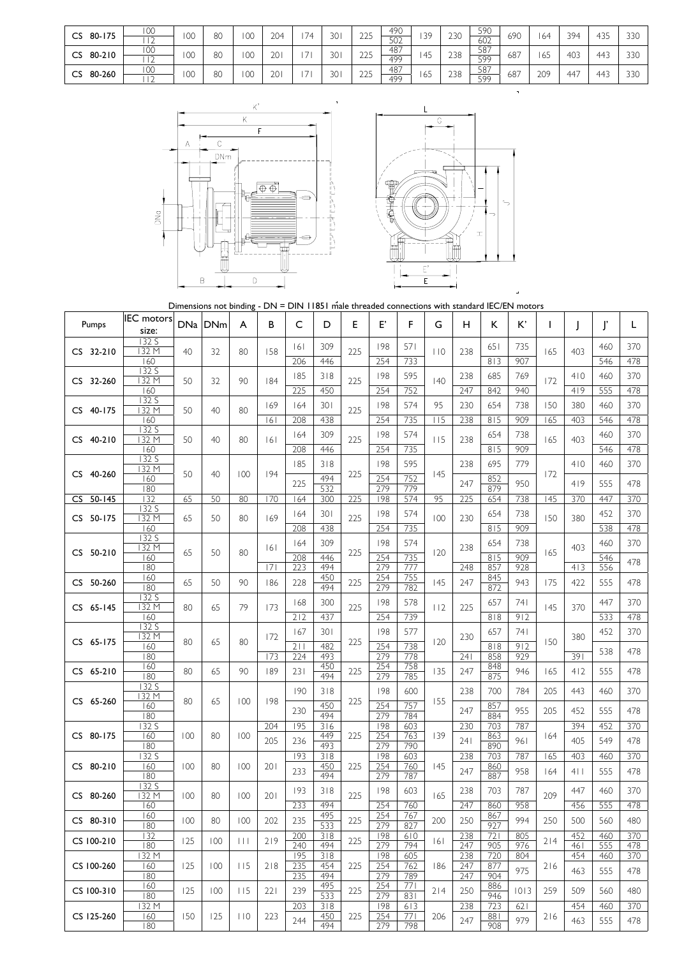| 80-175<br>CS | 100                                | $\cap$<br>vv | oη<br>öU | $\cap$ | 204             | 74                       | 30 | つつに   | 490       | 39 | 230 | 590 | 690 | . 64 | 394 | 42F                         | 330 |
|--------------|------------------------------------|--------------|----------|--------|-----------------|--------------------------|----|-------|-----------|----|-----|-----|-----|------|-----|-----------------------------|-----|
|              | $\sim$<br>$\overline{\phantom{a}}$ |              |          | vv     |                 |                          |    | $22-$ | 502       |    |     | 602 |     |      |     | ر_ ر                        |     |
| 80-210<br>CS | 100                                | $\cap$       | 80       | 00     | 20 <sub>1</sub> | $\sim$                   | 30 | つつに   | 487<br>__ | 45 | 238 | 587 | 687 |      | 403 | $44^\circ$                  | 330 |
|              |                                    | vv           |          |        |                 |                          |    | 22J   | 499       |    |     | 599 |     | 165  |     |                             |     |
| 80-260<br>CS | 100                                | $\sim$       | 80       | 00     | 20 <sub>1</sub> | $\overline{\phantom{a}}$ | 30 | つつに   | 487       | 65 | 238 | 587 | 687 | 209  | 447 | $\Delta\Delta$ <sup>-</sup> | 330 |
|              |                                    | vv           |          |        |                 |                          |    | 223   | 499       |    |     | 599 |     |      |     |                             | ںدد |





Dimensions not binding - DN = DIN 11851 male threaded connections with standard IEC/EN motors

| Pumps      | <b>IEC</b> motors<br>size: |     | DNa DNm | A       | В   | C          | D          | Е   | E,         | F           | G   | н          | κ          | K,         |     |            | ľ          | L          |
|------------|----------------------------|-----|---------|---------|-----|------------|------------|-----|------------|-------------|-----|------------|------------|------------|-----|------------|------------|------------|
|            | 132 S                      |     |         |         |     |            |            |     |            |             |     |            |            |            |     |            |            |            |
| CS 32-210  | 132 M                      | 40  | 32      | 80      | 158 | 6          | 309        | 225 | 198        | 571         | 110 | 238        | 651        | 735        | 165 | 403        | 460        | 370        |
|            | 160<br>132 S               |     |         |         |     | 206<br>185 | 446<br>318 |     | 254<br>198 | 733<br>595  |     | 238        | 813<br>685 | 907<br>769 |     | 410        | 546<br>460 | 478<br>370 |
| CS 32-260  | 132 M<br>160               | 50  | 32      | 90      | 184 | 225        | 450        | 225 | 254        | 752         | 40  | 247        | 842        | 940        | 172 | 419        | 555        | 478        |
|            | 132 S                      |     |         |         | 169 | 164        | 301        |     | 198        | 574         | 95  | 230        | 654        | 738        | 150 | 380        | 460        | 370        |
| CS 40-175  | 132 M<br>160               | 50  | 40      | 80      | 6   | 208        | 438        | 225 | 254        | 735         | 115 | 238        | 815        | 909        | 165 | 403        | 546        | 478        |
| CS 40-210  | 132 S<br>132 M             | 50  | 40      | 80      | 6   | 164        | 309        | 225 | 198        | 574         | 115 | 238        | 654        | 738        | 165 | 403        | 460        | 370        |
|            | 160                        |     |         |         |     | 208        | 446        |     | 254        | 735         |     |            | 815        | 909        |     |            | 546        | 478        |
| CS 40-260  | 132 S<br>132 M             | 50  | 40      | 100     | 194 | 185        | 318        | 225 | 198        | 595         | 145 | 238        | 695        | 779        | 172 | 410        | 460        | 370        |
|            | 160<br>180                 |     |         |         |     | 225        | 494<br>532 |     | 254<br>279 | 752<br>779  |     | 247        | 852<br>879 | 950        |     | 419        | 555        | 478        |
| CS 50-145  | 132                        | 65  | 50      | 80      | 170 | 164        | 300        | 225 | 198        | 574         | 95  | 225        | 654        | 738        | 145 | 370        | 447        | 370        |
| CS 50-175  | 132 S<br>132 M             | 65  | 50      | 80      | 169 | 164        | 301        | 225 | 198        | 574         | 100 | 230        | 654        | 738        | 150 | 380        | 452        | 370        |
|            | 160                        |     |         |         |     | 208        | 438        |     | 254        | 735         |     |            | 815        | 909        |     |            | 538        | 478        |
|            | 132 S<br>132 M             |     | 50      | 80      | 6   | 164        | 309        |     | 198        | 574         |     | 238        | 654        | 738        | 165 | 403        | 460        | 370        |
| CS 50-210  | 160<br>180                 | 65  |         |         | 7   | 208<br>223 | 446<br>494 | 225 | 254<br>279 | 735<br>777  | 120 | 248        | 815<br>857 | 909<br>928 |     | 4 3        | 546<br>556 | 478        |
| CS 50-260  | 160                        | 65  | 50      | 90      | 186 | 228        | 450        | 225 | 254        | 755         | 145 | 247        | 845        | 943        | 175 | 422        | 555        | 478        |
|            | 180<br>132 S               |     |         |         |     |            | 494        |     | 279        | 782         |     |            | 872        |            |     |            |            |            |
| CS 65-145  | 132 M                      | 80  | 65      | 79      | 173 | 168        | 300        | 225 | 198        | 578         | 112 | 225        | 657        | 741        | 145 | 370        | 447        | 370        |
|            | 160<br>132 S               |     |         |         |     | 212<br>167 | 437<br>301 |     | 254<br>198 | 739<br>577  |     |            | 818<br>657 | 912<br>741 |     |            | 533<br>452 | 478<br>370 |
| CS 65-175  | 132 M<br>160               | 80  | 65      | 80      | 172 | 211<br>224 | 482        | 225 | 254        | 738         | 120 | 230        | 818        | 912        | 150 | 380        |            |            |
|            | 180                        |     |         |         | 173 |            | 493        |     | 279        | 778         |     | 241        | 858        | 929        |     | 391        | 538        | 478        |
| CS 65-210  | 160<br>180                 | 80  | 65      | 90      | 189 | 231        | 450<br>494 | 225 | 254<br>279 | 758<br>785  | 135 | 247        | 848<br>875 | 946        | 165 | 412        | 555        | 478        |
|            | 132 S<br>132 M             |     |         |         |     | 190        | 318        |     | 198        | 600         |     | 238        | 700        | 784        | 205 | 443        | 460        | 370        |
| CS 65-260  | 160                        | 80  | 65      | 100     | 198 | 230        | 450        | 225 | 254        | 757         | 155 | 247        | 857        | 955        | 205 | 452        | 555        | 478        |
|            | 180<br>132 S               |     |         |         | 204 | 195        | 494<br>316 |     | 279<br>198 | 784<br>603  |     | 230        | 884<br>703 | 787        |     | 394        | 452        | 370        |
| CS 80-175  | 160                        | 100 | 80      | 100     | 205 | 236        | 449        | 225 | 254        | 763         | 139 | 241        | 863        | 961        | 164 | 405        | 549        | 478        |
|            | 180<br>132 S               |     |         |         |     | 193        | 493<br>318 |     | 279<br>198 | 790<br>603  |     | 238        | 890<br>703 | 787        | 165 | 403        | 460        | 370        |
| CS 80-210  | 160<br>180                 | 100 | 80      | 100     | 201 | 233        | 450<br>494 | 225 | 254<br>279 | 760<br>787  | 145 | 247        | 860<br>887 | 958        | 164 | 4 1        | 555        | 478        |
|            | 132 S                      |     |         |         |     | 193        | 318        |     | 198        | 603         |     | 238        | 703        | 787        |     | 447        | 460        | 370        |
| CS 80-260  | 132 M<br>160               | 100 | 80      | 100     | 201 | 233        | 494        | 225 | 254        | 760         | 165 | 247        | 860        | 958        | 209 | 456        | 555        | 478        |
| CS 80-310  | 160<br>180                 | 100 | 80      | 100     | 202 | 235        | 495<br>533 | 225 | 254<br>279 | 767<br>827  | 200 | 250        | 867<br>927 | 994        | 250 | 500        | 560        | 480        |
| CS 100-210 | 132                        | 125 | 100     | $\perp$ | 219 | 200        | 318        | 225 | 198        | 610         | 6   | 238        | 721        | 805        | 214 | 452        | 460        | 370        |
|            | 180<br>132 M               |     |         |         |     | 240<br>195 | 494<br>318 |     | 279<br>198 | 794<br>605  |     | 247<br>238 | 905<br>720 | 976<br>804 |     | 461<br>454 | 555<br>460 | 478<br>370 |
| CS 100-260 | 160                        | 125 | 100     | 115     | 218 | 235        | 454        | 225 | 254        | 762         | 186 | 247        | 877        | 975        | 216 | 463        | 555        | 478        |
|            | 180<br>160                 |     |         |         |     | 235        | 494<br>495 |     | 279<br>254 | 789<br>771  |     | 247        | 904<br>886 |            |     |            |            |            |
| CS 100-310 | 180                        | 125 | 100     | 115     | 221 | 239        | 533        | 225 | 279        | 831         | 214 | 250        | 946        | 1013       | 259 | 509        | 560        | 480        |
| CS 125-260 | 132 M<br>160               | 150 | 125     | 10      | 223 | 203<br>244 | 318<br>450 | 225 | 198<br>254 | 613<br>77 I | 206 | 238<br>247 | 723<br>881 | 621<br>979 | 216 | 454<br>463 | 460<br>555 | 370<br>478 |
|            | 180                        |     |         |         |     |            | 494        |     | 279        | 798         |     |            | 908        |            |     |            |            |            |